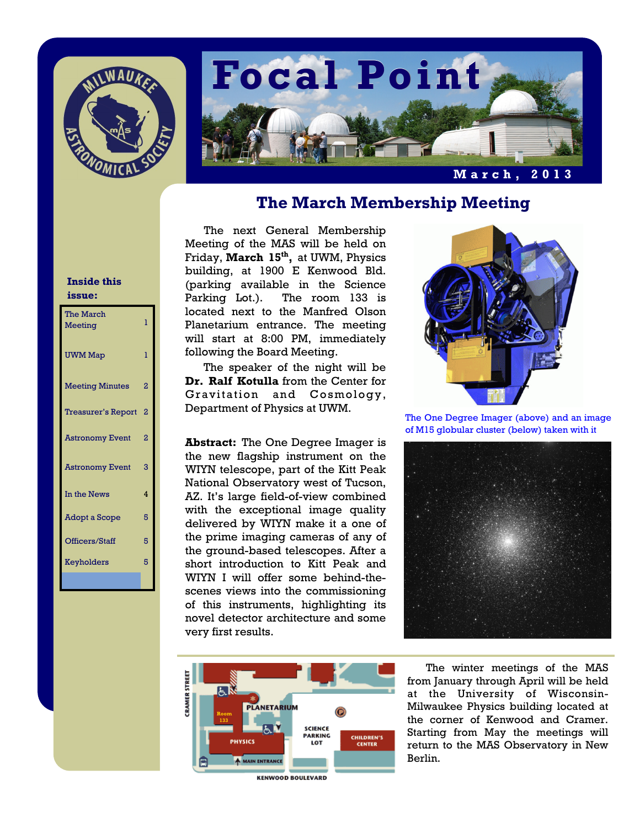



### **The March Membership Meeting**

The next General Membership Meeting of the MAS will be held on Friday, March 15<sup>th</sup>, at UWM, Physics building, at 1900 E Kenwood Bld. (parking available in the Science Parking Lot.). The room 133 is located next to the Manfred Olson Planetarium entrance. The meeting will start at 8:00 PM, immediately following the Board Meeting.

 The speaker of the night will be **Dr. Ralf Kotulla** from the Center for Gravitation and Cosmology, Department of Physics at UWM.

**Abstract:** The One Degree Imager is the new flagship instrument on the WIYN telescope, part of the Kitt Peak National Observatory west of Tucson, AZ. It's large field-of-view combined with the exceptional image quality delivered by WIYN make it a one of the prime imaging cameras of any of the ground-based telescopes. After a short introduction to Kitt Peak and WIYN I will offer some behind-thescenes views into the commissioning of this instruments, highlighting its novel detector architecture and some very first results.





The One Degree Imager (above) and an image of M15 globular cluster (below) taken with it



The winter meetings of the MAS from January through April will be held at the University of Wisconsin-Milwaukee Physics building located at the corner of Kenwood and Cramer. Starting from May the meetings will return to the MAS Observatory in New Berlin.

#### **Inside this issue:**

| <b>The March</b><br>Meeting | ī              |
|-----------------------------|----------------|
| <b>UWM</b> Map              | ı              |
| <b>Meeting Minutes</b>      | $\overline{2}$ |
| <b>Treasurer's Report</b>   | $\overline{2}$ |
| <b>Astronomy Event</b>      | $\overline{2}$ |
| <b>Astronomy Event</b>      | 3              |
| In the News                 | 4              |
| <b>Adopt a Scope</b>        | 5              |
| Officers/Staff              | 5              |
| Keyholders                  | 5              |
|                             |                |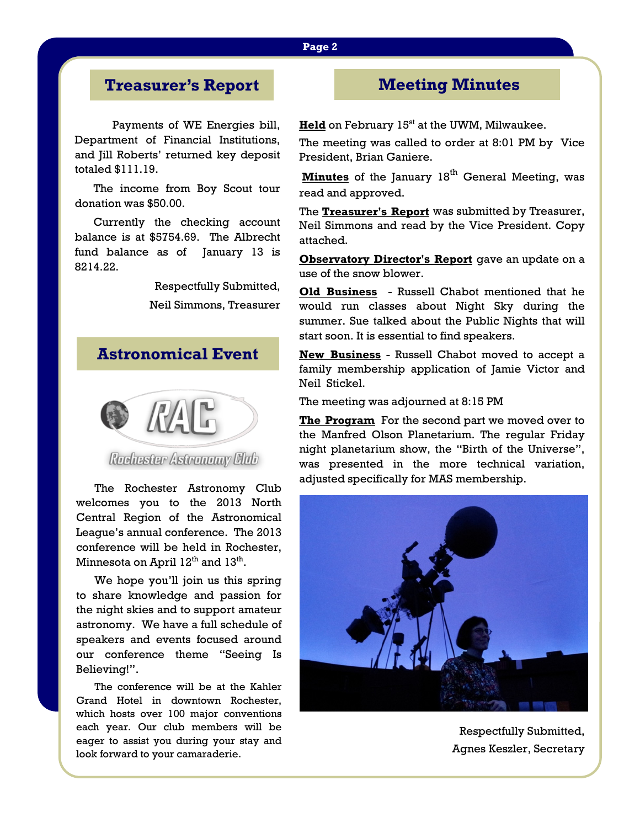## **Treasurer's Report**

 Payments of WE Energies bill, Department of Financial Institutions, and Jill Roberts' returned key deposit totaled \$111.19.

 The income from Boy Scout tour donation was \$50.00.

 Currently the checking account balance is at \$5754.69. The Albrecht fund balance as of January 13 is 8214.22.

> Respectfully Submitted, Neil Simmons, Treasurer





Rochester Astronomy Club

The Rochester Astronomy Club welcomes you to the 2013 North Central Region of the Astronomical League's annual conference. The 2013 conference will be held in Rochester, Minnesota on April 12<sup>th</sup> and 13<sup>th</sup>.

 We hope you'll join us this spring to share knowledge and passion for the night skies and to support amateur astronomy. We have a full schedule of speakers and events focused around our conference theme "Seeing Is Believing!".

The conference will be at the Kahler Grand Hotel in downtown Rochester, which hosts over 100 major conventions each year. Our club members will be eager to assist you during your stay and look forward to your camaraderie.

### **Meeting Minutes**

**Held** on February 15<sup>st</sup> at the UWM, Milwaukee.

The meeting was called to order at 8:01 PM by Vice President, Brian Ganiere.

**Minutes** of the January 18<sup>th</sup> General Meeting, was read and approved.

The **Treasurer's Report** was submitted by Treasurer, Neil Simmons and read by the Vice President. Copy attached.

**Observatory Director's Report** gave an update on a use of the snow blower.

**Old Business** - Russell Chabot mentioned that he would run classes about Night Sky during the summer. Sue talked about the Public Nights that will start soon. It is essential to find speakers.

**New Business** - Russell Chabot moved to accept a family membership application of Jamie Victor and Neil Stickel.

The meeting was adjourned at 8:15 PM

**The Program** For the second part we moved over to the Manfred Olson Planetarium. The regular Friday night planetarium show, the "Birth of the Universe", was presented in the more technical variation, adjusted specifically for MAS membership.



Respectfully Submitted, Agnes Keszler, Secretary

#### **Page 2**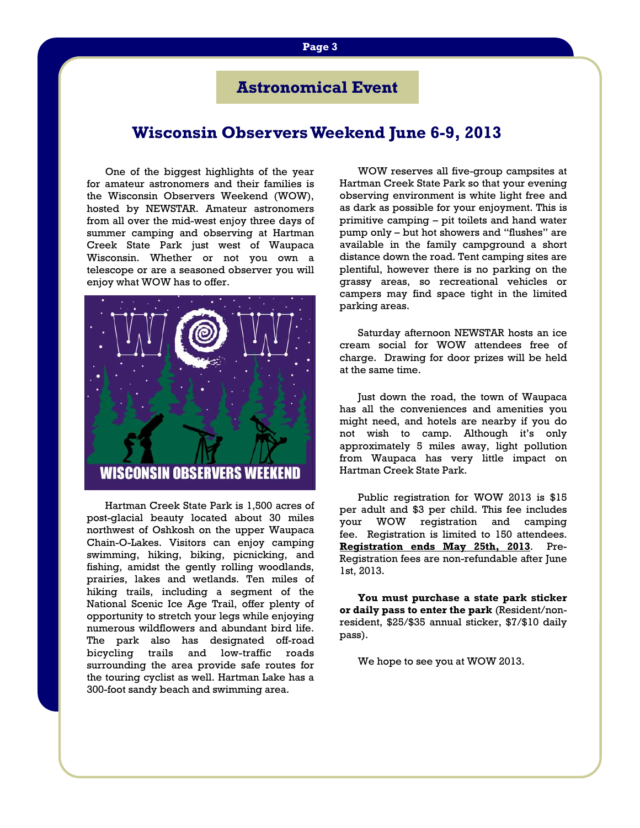### **Astronomical Event**

#### **Wisconsin Observers Weekend June 6-9, 2013**

One of the biggest highlights of the year for amateur astronomers and their families is the Wisconsin Observers Weekend (WOW), hosted by NEWSTAR. Amateur astronomers from all over the mid-west enjoy three days of summer camping and observing at Hartman Creek State Park just west of Waupaca Wisconsin. Whether or not you own a telescope or are a seasoned observer you will enjoy what WOW has to offer.



 Hartman Creek State Park is 1,500 acres of post-glacial beauty located about 30 miles northwest of Oshkosh on the upper Waupaca Chain-O-Lakes. Visitors can enjoy camping swimming, hiking, biking, picnicking, and fishing, amidst the gently rolling woodlands, prairies, lakes and wetlands. Ten miles of hiking trails, including a segment of the National Scenic Ice Age Trail, offer plenty of opportunity to stretch your legs while enjoying numerous wildflowers and abundant bird life. The park also has designated off-road bicycling trails and low-traffic roads surrounding the area provide safe routes for the touring cyclist as well. Hartman Lake has a 300-foot sandy beach and swimming area.

 WOW reserves all five-group campsites at Hartman Creek State Park so that your evening observing environment is white light free and as dark as possible for your enjoyment. This is primitive camping – pit toilets and hand water pump only – but hot showers and "flushes" are available in the family campground a short distance down the road. Tent camping sites are plentiful, however there is no parking on the grassy areas, so recreational vehicles or campers may find space tight in the limited parking areas.

 Saturday afternoon NEWSTAR hosts an ice cream social for WOW attendees free of charge. Drawing for door prizes will be held at the same time.

 Just down the road, the town of Waupaca has all the conveniences and amenities you might need, and hotels are nearby if you do not wish to camp. Although it's only approximately 5 miles away, light pollution from Waupaca has very little impact on Hartman Creek State Park.

 Public registration for WOW 2013 is \$15 per adult and \$3 per child. This fee includes your WOW registration and camping fee. Registration is limited to 150 attendees. **Registration ends May 25th, 2013**. Pre-Registration fees are non-refundable after June 1st, 2013.

 **You must purchase a state park sticker or daily pass to enter the park** (Resident/nonresident, \$25/\$35 annual sticker, \$7/\$10 daily pass).

We hope to see you at WOW 2013.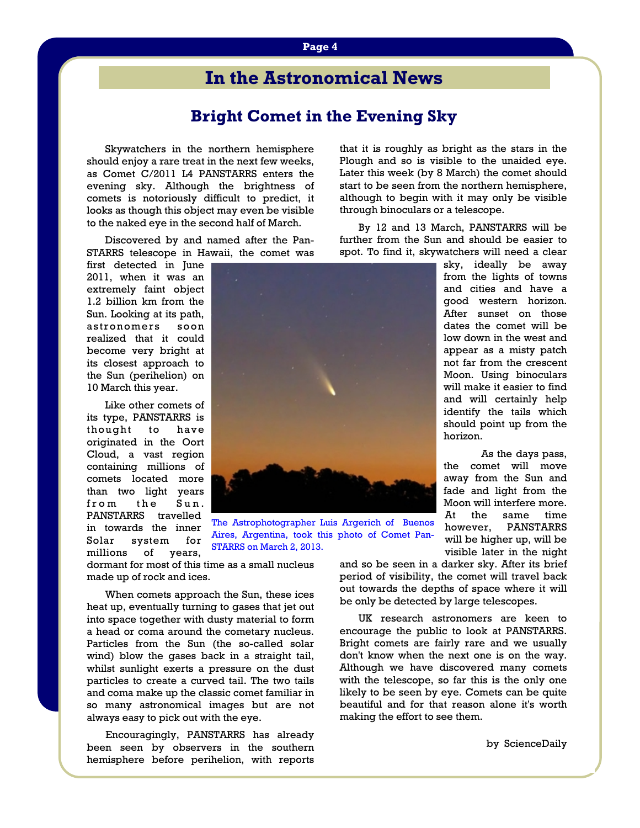# **In the Astronomical News**

### **Bright Comet in the Evening Sky**

Skywatchers in the northern hemisphere should enjoy a rare treat in the next few weeks, as Comet C/2011 L4 PANSTARRS enters the evening sky. Although the brightness of comets is notoriously difficult to predict, it looks as though this object may even be visible to the naked eye in the second half of March.

 Discovered by and named after the Pan-STARRS telescope in Hawaii, the comet was

first detected in June 2011, when it was an extremely faint object 1.2 billion km from the Sun. Looking at its path, astronomers soon realized that it could become very bright at its closest approach to the Sun (perihelion) on 10 March this year.

 Like other comets of its type, PANSTARRS is thought to have originated in the Oort Cloud, a vast region containing millions of comets located more than two light years from the Sun. PANSTARRS travelled in towards the inner Solar system for millions of years,



The Astrophotographer Luis Argerich of Buenos Aires, Argentina, took this photo of Comet Pan-STARRS on March 2, 2013.

dormant for most of this time as a small nucleus made up of rock and ices.

 When comets approach the Sun, these ices heat up, eventually turning to gases that jet out into space together with dusty material to form a head or coma around the cometary nucleus. Particles from the Sun (the so-called solar wind) blow the gases back in a straight tail, whilst sunlight exerts a pressure on the dust particles to create a curved tail. The two tails and coma make up the classic comet familiar in so many astronomical images but are not always easy to pick out with the eye.

 Encouragingly, PANSTARRS has already been seen by observers in the southern hemisphere before perihelion, with reports that it is roughly as bright as the stars in the Plough and so is visible to the unaided eye. Later this week (by 8 March) the comet should start to be seen from the northern hemisphere, although to begin with it may only be visible through binoculars or a telescope.

 By 12 and 13 March, PANSTARRS will be further from the Sun and should be easier to spot. To find it, skywatchers will need a clear

> sky, ideally be away from the lights of towns and cities and have a good western horizon. After sunset on those dates the comet will be low down in the west and appear as a misty patch not far from the crescent Moon. Using binoculars will make it easier to find and will certainly help identify the tails which should point up from the horizon.

> As the days pass, the comet will move away from the Sun and fade and light from the Moon will interfere more. At the same time however, PANSTARRS will be higher up, will be visible later in the night

and so be seen in a darker sky. After its brief period of visibility, the comet will travel back out towards the depths of space where it will be only be detected by large telescopes.

 UK research astronomers are keen to encourage the public to look at PANSTARRS. Bright comets are fairly rare and we usually don't know when the next one is on the way. Although we have discovered many comets with the telescope, so far this is the only one likely to be seen by eye. Comets can be quite beautiful and for that reason alone it's worth making the effort to see them.

by ScienceDaily